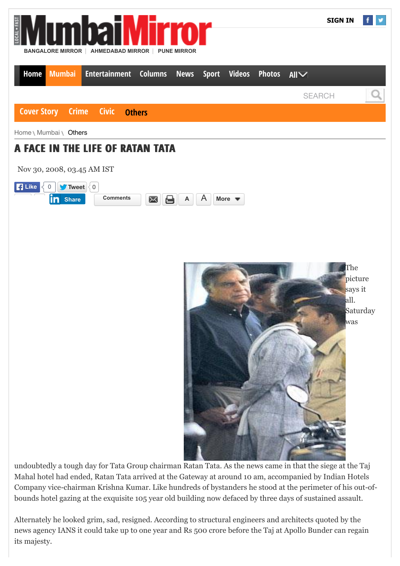

undoubtedly a tough day for Tata Group chairman Ratan Tata. As the news came in that the siege at the Taj Mahal hotel had ended, Ratan Tata arrived at the Gateway at around 10 am, accompanied by Indian Hotels Company vice-chairman Krishna Kumar. Like hundreds of bystanders he stood at the perimeter of his out-ofbounds hotel gazing at the exquisite 105 year old building now defaced by three days of sustained assault.

Alternately he looked grim, sad, resigned. According to structural engineers and architects quoted by the news agency IANS it could take up to one year and Rs 500 crore before the Taj at Apollo Bunder can regain its majesty.